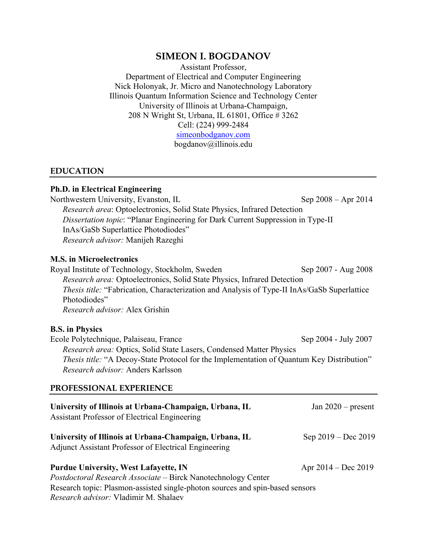# **SIMEON I. BOGDANOV**

Assistant Professor, Department of Electrical and Computer Engineering Nick Holonyak, Jr. Micro and Nanotechnology Laboratory Illinois Quantum Information Science and Technology Center University of Illinois at Urbana-Champaign, 208 N Wright St, Urbana, IL 61801, Office # 3262 Cell: (224) 999-2484 [simeonbodganov.com](http://simeonbogdanov.com/) bogdanov@illinois.edu

### **EDUCATION**

#### **Ph.D. in Electrical Engineering**

Northwestern University, Evanston, IL Sep 2008 – Apr 2014 *Research area*: Optoelectronics, Solid State Physics, Infrared Detection *Dissertation topic*: "Planar Engineering for Dark Current Suppression in Type-II InAs/GaSb Superlattice Photodiodes" *Research advisor:* Manijeh Razeghi

### **M.S. in Microelectronics**

Royal Institute of Technology, Stockholm, Sweden Sep 2007 - Aug 2008 *Research area:* Optoelectronics, Solid State Physics, Infrared Detection *Thesis title:* "Fabrication, Characterization and Analysis of Type-II InAs/GaSb Superlattice Photodiodes" *Research advisor:* Alex Grishin

#### **B.S. in Physics**

| <i>Thesis title:</i> "A Decoy-State Protocol for the Implementation of Quantum Key Distribution" |
|--------------------------------------------------------------------------------------------------|
|                                                                                                  |
|                                                                                                  |

### **PROFESSIONAL EXPERIENCE**

| University of Illinois at Urbana-Champaign, Urbana, IL<br>Assistant Professor of Electrical Engineering         | Jan $2020$ – present  |
|-----------------------------------------------------------------------------------------------------------------|-----------------------|
| University of Illinois at Urbana-Champaign, Urbana, IL<br>Adjunct Assistant Professor of Electrical Engineering | Sep $2019 - Dec 2019$ |
| <b>Purdue University, West Lafayette, IN</b>                                                                    | Apr $2014 - Dec 2019$ |
| Postdoctoral Research Associate - Birck Nanotechnology Center                                                   |                       |
| Research topic: Plasmon-assisted single-photon sources and spin-based sensors                                   |                       |
| <i>Research advisor:</i> Vladimir M. Shalaev                                                                    |                       |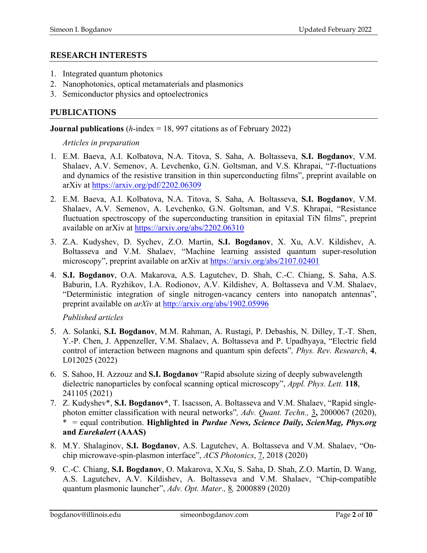## **RESEARCH INTERESTS**

- 1. Integrated quantum photonics
- 2. Nanophotonics, optical metamaterials and plasmonics
- 3. Semiconductor physics and optoelectronics

# **PUBLICATIONS**

**Journal publications** (*h*-index = 18, 997 citations as of February 2022)

*Articles in preparation*

- 1. E.M. Baeva, A.I. Kolbatova, N.A. Titova, S. Saha, A. Boltasseva, **S.I. Bogdanov**, V.M. Shalaev, A.V. Semenov, A. Levchenko, G.N. Goltsman, and V.S. Khrapai, "*T*-fluctuations and dynamics of the resistive transition in thin superconducting films", preprint available on arXiv at<https://arxiv.org/pdf/2202.06309>
- 2. E.M. Baeva, A.I. Kolbatova, N.A. Titova, S. Saha, A. Boltasseva, **S.I. Bogdanov**, V.M. Shalaev, A.V. Semenov, A. Levchenko, G.N. Goltsman, and V.S. Khrapai, "Resistance fluctuation spectroscopy of the superconducting transition in epitaxial TiN films", preprint available on arXiv at<https://arxiv.org/abs/2202.06310>
- 3. Z.A. Kudyshev, D. Sychev, Z.O. Martin, **S.I. Bogdanov**, X. Xu, A.V. Kildishev, A. Boltasseva and V.M. Shalaev, "Machine learning assisted quantum super-resolution microscopy", preprint available on arXiv at<https://arxiv.org/abs/2107.02401>
- 4. **S.I. Bogdanov**, O.A. Makarova, A.S. Lagutchev, D. Shah, C.-C. Chiang, S. Saha, A.S. Baburin, I.A. Ryzhikov, I.A. Rodionov, A.V. Kildishev, A. Boltasseva and V.M. Shalaev, "Deterministic integration of single nitrogen-vacancy centers into nanopatch antennas", preprint available on *arXiv* at<http://arxiv.org/abs/1902.05996>

*Published articles*

- 5. A. Solanki, **S.I. Bogdanov**, M.M. Rahman, A. Rustagi, P. Debashis, N. Dilley, T.-T. Shen, Y.-P. Chen, J. Appenzeller, V.M. Shalaev, A. Boltasseva and P. Upadhyaya, "Electric field control of interaction between magnons and quantum spin defects"*, Phys. Rev. Research*, **4**, L012025 (2022)
- 6. S. Sahoo, H. Azzouz and **S.I. Bogdanov** "Rapid absolute sizing of deeply subwavelength dielectric nanoparticles by confocal scanning optical microscopy", *Appl. Phys. Lett.* **118**, 241105 (2021)
- 7. Z. Kudyshev\*, **S.I. Bogdanov\***, T. Isacsson, A. Boltasseva and V.M. Shalaev, "Rapid singlephoton emitter classification with neural networks"*, Adv. Quant. Techn.,* 3**,** 2000067 (2020), \* = equal contribution. **Highlighted in** *Purdue News, Science Daily, ScienMag, Phys.org* **and** *Eurekalert* **(AAAS)**
- 8. M.Y. Shalaginov, **S.I. Bogdanov**, A.S. Lagutchev, A. Boltasseva and V.M. Shalaev, "Onchip microwave-spin-plasmon interface", *ACS Photonics*, 7, 2018 (2020)
- 9. C.-C. Chiang, **S.I. Bogdanov**, O. Makarova, X.Xu, S. Saha, D. Shah, Z.O. Martin, D. Wang, A.S. Lagutchev, A.V. Kildishev, A. Boltasseva and V.M. Shalaev, "Chip-compatible quantum plasmonic launcher", *Adv. Opt. Mater.,* 8*,* 2000889 (2020)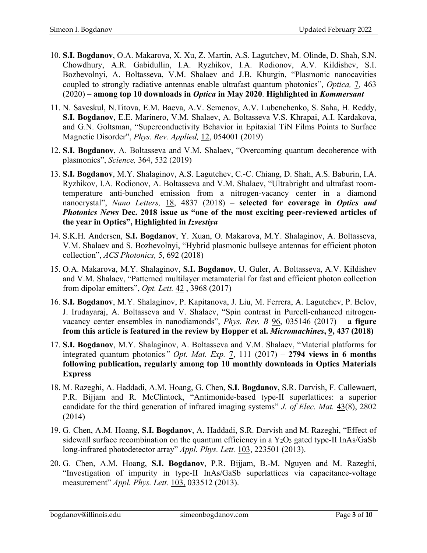- 10. **S.I. Bogdanov**, O.A. Makarova, X. Xu, Z. Martin, A.S. Lagutchev, M. Olinde, D. Shah, S.N. Chowdhury, A.R. Gabidullin, I.A. Ryzhikov, I.A. Rodionov, A.V. Kildishev, S.I. Bozhevolnyi, A. Boltasseva, V.M. Shalaev and J.B. Khurgin, "Plasmonic nanocavities coupled to strongly radiative antennas enable ultrafast quantum photonics", *Optica,* 7*,* 463 (2020) – **among top 10 downloads in** *Optica* **in May 2020**. **Highlighted in** *Kommersant*
- 11. N. Saveskul, N.Titova, E.M. Baeva, A.V. Semenov, A.V. Lubenchenko, S. Saha, H. Reddy, **S.I. Bogdanov**, E.E. Marinero, V.M. Shalaev, A. Boltasseva V.S. Khrapai, A.I. Kardakova, and G.N. Goltsman, "Superconductivity Behavior in Epitaxial TiN Films Points to Surface Magnetic Disorder", *Phys. Rev. Applied,* 12, 054001 (2019)
- 12. **S.I. Bogdanov**, A. Boltasseva and V.M. Shalaev, "Overcoming quantum decoherence with plasmonics", *Science,* 364, 532 (2019)
- 13. **S.I. Bogdanov**, M.Y. Shalaginov, A.S. Lagutchev, C.-C. Chiang, D. Shah, A.S. Baburin, I.A. Ryzhikov, I.A. Rodionov, A. Boltasseva and V.M. Shalaev, "Ultrabright and ultrafast roomtemperature anti-bunched emission from a nitrogen-vacancy center in a diamond nanocrystal", *Nano Letters,* 18, 4837 (2018) – **selected for coverage in** *Optics and Photonics News* **Dec. 2018 issue as "one of the most exciting peer-reviewed articles of the year in Optics", Highlighted in** *Izvestiya*
- 14. S.K.H. Andersen, **S.I. Bogdanov**, Y. Xuan, O. Makarova, M.Y. Shalaginov, A. Boltasseva, V.M. Shalaev and S. Bozhevolnyi, "Hybrid plasmonic bullseye antennas for efficient photon collection", *ACS Photonics,* 5, 692 (2018)
- 15. O.A. Makarova, M.Y. Shalaginov, **S.I. Bogdanov**, U. Guler, A. Boltasseva, A.V. Kildishev and V.M. Shalaev, "Patterned multilayer metamaterial for fast and efficient photon collection from dipolar emitters", *Opt. Lett.* 42 , 3968 (2017)
- 16. **S.I. Bogdanov**, M.Y. Shalaginov, P. Kapitanova, J. Liu, M. Ferrera, A. Lagutchev, P. Belov, J. Irudayaraj, A. Boltasseva and V. Shalaev, "Spin contrast in Purcell-enhanced nitrogenvacancy center ensembles in nanodiamonds", *Phys. Rev. B* 96, 035146 (2017) – **a figure from this article is featured in the review by Hopper et al.** *Micromachines***, 9, 437 (2018)**
- 17. **S.I. Bogdanov**, M.Y. Shalaginov, A. Boltasseva and V.M. Shalaev, "Material platforms for integrated quantum photonics" *Opt. Mat. Exp.* 7, 111 (2017) – 2794 views in 6 months **following publication, regularly among top 10 monthly downloads in Optics Materials Express**
- 18. M. Razeghi, A. Haddadi, A.M. Hoang, G. Chen, **S.I. Bogdanov**, S.R. Darvish, F. Callewaert, P.R. Bijjam and R. McClintock, "Antimonide-based type-II superlattices: a superior candidate for the third generation of infrared imaging systems" *J. of Elec. Mat.* 43(8), 2802 (2014)
- 19. G. Chen, A.M. Hoang, **S.I. Bogdanov**, A. Haddadi, S.R. Darvish and M. Razeghi, "Effect of sidewall surface recombination on the quantum efficiency in a  $Y_2O_3$  gated type-II InAs/GaSb long-infrared photodetector array" *Appl. Phys. Lett.* 103, 223501 (2013).
- 20. G. Chen, A.M. Hoang, **S.I. Bogdanov**, P.R. Bijjam, B.-M. Nguyen and M. Razeghi, "Investigation of impurity in type-II InAs/GaSb superlattices via capacitance-voltage measurement" *Appl. Phys. Lett.* 103, 033512 (2013).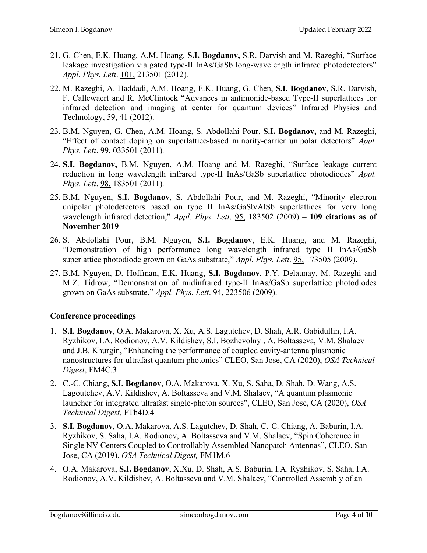- 21. G. Chen, E.K. Huang, A.M. Hoang, **S.I. Bogdanov,** S.R. Darvish and M. Razeghi, "Surface leakage investigation via gated type-II InAs/GaSb long-wavelength infrared photodetectors" *Appl. Phys. Lett*. 101, 213501 (2012)*.*
- 22. M. Razeghi, A. Haddadi, A.M. Hoang, E.K. Huang, G. Chen, **S.I. Bogdanov**, S.R. Darvish, F. Callewaert and R. McClintock "Advances in antimonide-based Type-II superlattices for infrared detection and imaging at center for quantum devices" Infrared Physics and Technology, 59, 41 (2012).
- 23. B.M. Nguyen, G. Chen, A.M. Hoang, S. Abdollahi Pour, **S.I. Bogdanov,** and M. Razeghi, "Effect of contact doping on superlattice-based minority-carrier unipolar detectors" *Appl. Phys. Lett*. 99, 033501 (2011)*.*
- 24. **S.I. Bogdanov,** B.M. Nguyen, A.M. Hoang and M. Razeghi, "Surface leakage current reduction in long wavelength infrared type-II InAs/GaSb superlattice photodiodes" *Appl. Phys. Lett*. 98, 183501 (2011)*.*
- 25. B.M. Nguyen, **S.I. Bogdanov**, S. Abdollahi Pour, and M. Razeghi, "Minority electron unipolar photodetectors based on type II InAs/GaSb/AlSb superlattices for very long wavelength infrared detection," *Appl. Phys. Lett*. 95, 183502 (2009) – **109 citations as of November 2019**
- 26. S. Abdollahi Pour, B.M. Nguyen, **S.I. Bogdanov**, E.K. Huang, and M. Razeghi, "Demonstration of high performance long wavelength infrared type II InAs/GaSb superlattice photodiode grown on GaAs substrate," *Appl. Phys. Lett*. 95, 173505 (2009).
- 27. B.M. Nguyen, D. Hoffman, E.K. Huang, **S.I. Bogdanov**, P.Y. Delaunay, M. Razeghi and M.Z. Tidrow, "Demonstration of midinfrared type-II InAs/GaSb superlattice photodiodes grown on GaAs substrate," *Appl. Phys. Lett*. 94, 223506 (2009).

# **Conference proceedings**

- 1. **S.I. Bogdanov**, O.A. Makarova, X. Xu, A.S. Lagutchev, D. Shah, A.R. Gabidullin, I.A. Ryzhikov, I.A. Rodionov, A.V. Kildishev, S.I. Bozhevolnyi, A. Boltasseva, V.M. Shalaev and J.B. Khurgin, "Enhancing the performance of coupled cavity-antenna plasmonic nanostructures for ultrafast quantum photonics" CLEO, San Jose, CA (2020), *OSA Technical Digest*, FM4C.3
- 2. C.-C. Chiang, **S.I. Bogdanov**, O.A. Makarova, X. Xu, S. Saha, D. Shah, D. Wang, A.S. Lagoutchev, A.V. Kildishev, A. Boltasseva and V.M. Shalaev, "A quantum plasmonic launcher for integrated ultrafast single-photon sources", CLEO, San Jose, CA (2020), *OSA Technical Digest,* FTh4D.4
- 3. **S.I. Bogdanov**, O.A. Makarova, A.S. Lagutchev, D. Shah, C.-C. Chiang, A. Baburin, I.A. Ryzhikov, S. Saha, I.A. Rodionov, A. Boltasseva and V.M. Shalaev, "Spin Coherence in Single NV Centers Coupled to Controllably Assembled Nanopatch Antennas", CLEO, San Jose, CA (2019), *OSA Technical Digest,* FM1M.6
- 4. O.A. Makarova, **S.I. Bogdanov**, X.Xu, D. Shah, A.S. Baburin, I.A. Ryzhikov, S. Saha, I.A. Rodionov, A.V. Kildishev, A. Boltasseva and V.M. Shalaev, "Controlled Assembly of an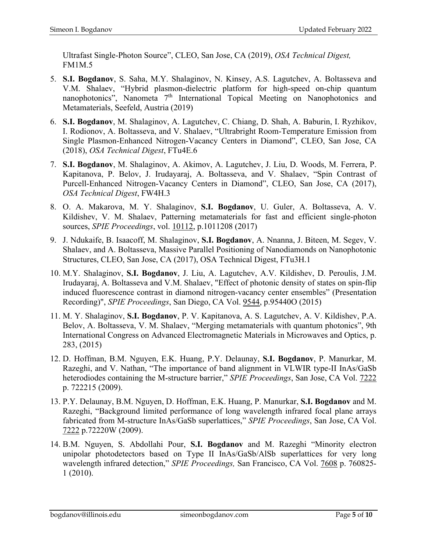Ultrafast Single-Photon Source", CLEO, San Jose, CA (2019), *OSA Technical Digest,* FM1M.5

- 5. **S.I. Bogdanov**, S. Saha, M.Y. Shalaginov, N. Kinsey, A.S. Lagutchev, A. Boltasseva and V.M. Shalaev, "Hybrid plasmon-dielectric platform for high-speed on-chip quantum nanophotonics", Nanometa  $7<sup>th</sup>$  International Topical Meeting on Nanophotonics and Metamaterials, Seefeld, Austria (2019)
- 6. **S.I. Bogdanov**, M. Shalaginov, A. Lagutchev, C. Chiang, D. Shah, A. Baburin, I. Ryzhikov, I. Rodionov, A. Boltasseva, and V. Shalaev, "Ultrabright Room-Temperature Emission from Single Plasmon-Enhanced Nitrogen-Vacancy Centers in Diamond", CLEO, San Jose, CA (2018), *OSA Technical Digest*, FTu4E.6
- 7. **S.I. Bogdanov**, M. Shalaginov, A. Akimov, A. Lagutchev, J. Liu, D. Woods, M. Ferrera, P. Kapitanova, P. Belov, J. Irudayaraj, A. Boltasseva, and V. Shalaev, "Spin Contrast of Purcell-Enhanced Nitrogen-Vacancy Centers in Diamond", CLEO, San Jose, CA (2017), *OSA Technical Digest*, FW4H.3
- 8. O. A. Makarova, M. Y. Shalaginov, **S.I. Bogdanov**, U. Guler, A. Boltasseva, A. V. Kildishev, V. M. Shalaev, Patterning metamaterials for fast and efficient single-photon sources, *SPIE Proceedings*, vol. 10112, p.1011208 (2017)
- 9. J. Ndukaife, B. Isaacoff, M. Shalaginov, **S.I. Bogdanov**, A. Nnanna, J. Biteen, M. Segev, V. Shalaev, and A. Boltasseva, Massive Parallel Positioning of Nanodiamonds on Nanophotonic Structures, CLEO, San Jose, CA (2017), OSA Technical Digest, FTu3H.1
- 10. M.Y. Shalaginov, **S.I. Bogdanov**, J. Liu, A. Lagutchev, A.V. Kildishev, D. Peroulis, J.M. Irudayaraj, A. Boltasseva and V.M. Shalaev, "Effect of photonic density of states on spin-flip induced fluorescence contrast in diamond nitrogen-vacancy center ensembles" (Presentation Recording)", *SPIE Proceedings*, San Diego, CA Vol. 9544, p.95440O (2015)
- 11. M. Y. Shalaginov, **S.I. Bogdanov**, P. V. Kapitanova, A. S. Lagutchev, A. V. Kildishev, P.A. Belov, A. Boltasseva, V. M. Shalaev, "Merging metamaterials with quantum photonics", 9th International Congress on Advanced Electromagnetic Materials in Microwaves and Optics, p. 283, (2015)
- 12. D. Hoffman, B.M. Nguyen, E.K. Huang, P.Y. Delaunay, **S.I. Bogdanov**, P. Manurkar, M. Razeghi, and V. Nathan, "The importance of band alignment in VLWIR type-II InAs/GaSb heterodiodes containing the M-structure barrier," *SPIE Proceedings*, San Jose, CA Vol. 7222 p. 722215 (2009).
- 13. P.Y. Delaunay, B.M. Nguyen, D. Hoffman, E.K. Huang, P. Manurkar, **S.I. Bogdanov** and M. Razeghi, "Background limited performance of long wavelength infrared focal plane arrays fabricated from M-structure InAs/GaSb superlattices," *SPIE Proceedings*, San Jose, CA Vol. 7222 p.72220W (2009).
- 14. B.M. Nguyen, S. Abdollahi Pour, **S.I. Bogdanov** and M. Razeghi "Minority electron unipolar photodetectors based on Type II InAs/GaSb/AlSb superlattices for very long wavelength infrared detection," *SPIE Proceedings,* San Francisco, CA Vol. 7608 p. 760825- 1 (2010).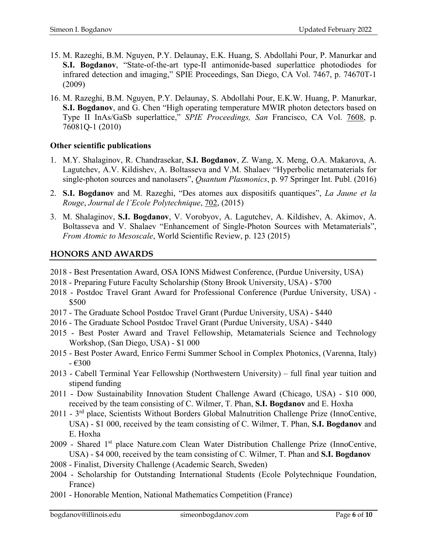- 15. M. Razeghi, B.M. Nguyen, P.Y. Delaunay, E.K. Huang, S. Abdollahi Pour, P. Manurkar and **S.I. Bogdanov**, "State-of-the-art type-II antimonide-based superlattice photodiodes for infrared detection and imaging," SPIE Proceedings, San Diego, CA Vol. 7467, p. 74670T-1 (2009)
- 16. M. Razeghi, B.M. Nguyen, P.Y. Delaunay, S. Abdollahi Pour, E.K.W. Huang, P. Manurkar, **S.I. Bogdanov**, and G. Chen "High operating temperature MWIR photon detectors based on Type II InAs/GaSb superlattice," *SPIE Proceedings, San* Francisco, CA Vol. 7608, p. 76081Q-1 (2010)

## **Other scientific publications**

- 1. M.Y. Shalaginov, R. Chandrasekar, **S.I. Bogdanov**, Z. Wang, X. Meng, O.A. Makarova, A. Lagutchev, A.V. Kildishev, A. Boltasseva and V.M. Shalaev "Hyperbolic metamaterials for single-photon sources and nanolasers", *Quantum Plasmonics*, p. 97 Springer Int. Publ. (2016)
- 2. **S.I. Bogdanov** and M. Razeghi, "Des atomes aux dispositifs quantiques", *La Jaune et la Rouge*, *Journal de l'Ecole Polytechnique*, 702, (2015)
- 3. M. Shalaginov, **S.I. Bogdanov**, V. Vorobyov, A. Lagutchev, A. Kildishev, A. Akimov, A. Boltasseva and V. Shalaev "Enhancement of Single-Photon Sources with Metamaterials", *From Atomic to Mesoscale*, World Scientific Review, p. 123 (2015)

# **HONORS AND AWARDS**

- 2018 Best Presentation Award, OSA IONS Midwest Conference, (Purdue University, USA)
- 2018 Preparing Future Faculty Scholarship (Stony Brook University, USA) \$700
- 2018 Postdoc Travel Grant Award for Professional Conference (Purdue University, USA) \$500
- 2017 The Graduate School Postdoc Travel Grant (Purdue University, USA) \$440
- 2016 The Graduate School Postdoc Travel Grant (Purdue University, USA) \$440
- 2015 Best Poster Award and Travel Fellowship, Metamaterials Science and Technology Workshop, (San Diego, USA) - \$1 000
- 2015 Best Poster Award, Enrico Fermi Summer School in Complex Photonics, (Varenna, Italy)  $-$  <del>€</del>300
- 2013 Cabell Terminal Year Fellowship (Northwestern University) full final year tuition and stipend funding
- 2011 Dow Sustainability Innovation Student Challenge Award (Chicago, USA) \$10 000, received by the team consisting of C. Wilmer, T. Phan, **S.I. Bogdanov** and E. Hoxha
- 2011 3<sup>rd</sup> place, Scientists Without Borders Global Malnutrition Challenge Prize (InnoCentive, USA) - \$1 000, received by the team consisting of C. Wilmer, T. Phan, **S.I. Bogdanov** and E. Hoxha
- 2009 Shared 1<sup>st</sup> place Nature.com Clean Water Distribution Challenge Prize (InnoCentive, USA) - \$4 000, received by the team consisting of C. Wilmer, T. Phan and **S.I. Bogdanov**
- 2008 Finalist, Diversity Challenge (Academic Search, Sweden)
- 2004 Scholarship for Outstanding International Students (Ecole Polytechnique Foundation, France)
- 2001 Honorable Mention, National Mathematics Competition (France)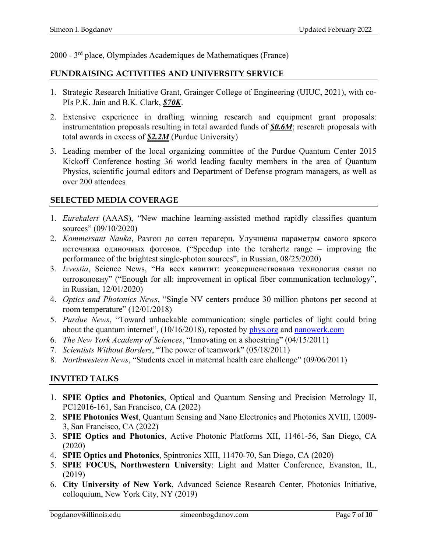2000 - 3rd place, Olympiades Academiques de Mathematiques (France)

## **FUNDRAISING ACTIVITIES AND UNIVERSITY SERVICE**

- 1. Strategic Research Initiative Grant, Grainger College of Engineering (UIUC, 2021), with co-PIs P.K. Jain and B.K. Clark, *\$70K*.
- 2. Extensive experience in drafting winning research and equipment grant proposals: instrumentation proposals resulting in total awarded funds of *\$0.6M*; research proposals with total awards in excess of *\$2.2M* (Purdue University)
- 3. Leading member of the local organizing committee of the Purdue Quantum Center 2015 Kickoff Conference hosting 36 world leading faculty members in the area of Quantum Physics, scientific journal editors and Department of Defense program managers, as well as over 200 attendees

## **SELECTED MEDIA COVERAGE**

- 1. *Eurekalert* (AAAS), "New machine learning-assisted method rapidly classifies quantum sources" (09/10/2020)
- 2. *Kommersant Nauka*, Разгон до сотен терагерц. Улучшены параметры самого яркого источника одиночных фотонов. ("Speedup into the terahertz range – improving the performance of the brightest single-photon sources", in Russian, 08/25/2020)
- 3. *Izvestia*, Science News, "На всех квантит: усовершенствована технология связи по оптоволокну" ("Enough for all: improvement in optical fiber communication technology", in Russian, 12/01/2020)
- 4. *Optics and Photonics News*, "Single NV centers produce 30 million photons per second at room temperature" (12/01/2018)
- 5. *Purdue News*, "Toward unhackable communication: single particles of light could bring about the quantum internet",  $(10/16/2018)$ , reposted by  $\frac{phys.org}{phys.org}$  and [nanowerk.com](https://www.nanowerk.com/nanotechnology-news2/newsid=51283.php)
- 6. *The New York Academy of Sciences*, "Innovating on a shoestring" (04/15/2011)
- 7. *Scientists Without Borders*, "The power of teamwork" (05/18/2011)
- 8. *Northwestern News*, "Students excel in maternal health care challenge" (09/06/2011)

# **INVITED TALKS**

- 1. **SPIE Optics and Photonics**, Optical and Quantum Sensing and Precision Metrology II, PC12016-161, San Francisco, CA (2022)
- 2. **SPIE Photonics West**, Quantum Sensing and Nano Electronics and Photonics XVIII, 12009- 3, San Francisco, CA (2022)
- 3. **SPIE Optics and Photonics**, Active Photonic Platforms XII, 11461-56, San Diego, CA (2020)
- 4. **SPIE Optics and Photonics**, Spintronics XIII, 11470-70, San Diego, CA (2020)
- 5. **SPIE FOCUS, Northwestern University**: Light and Matter Conference, Evanston, IL, (2019)
- 6. **City University of New York**, Advanced Science Research Center, Photonics Initiative, colloquium, New York City, NY (2019)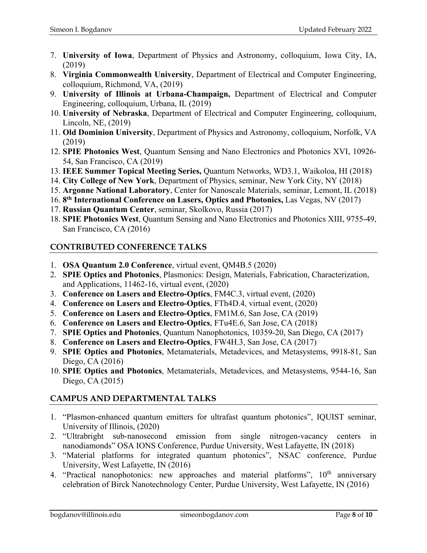- 7. **University of Iowa**, Department of Physics and Astronomy, colloquium, Iowa City, IA, (2019)
- 8. **Virginia Commonwealth University**, Department of Electrical and Computer Engineering, colloquium, Richmond, VA, (2019)
- 9. **University of Illinois at Urbana-Champaign,** Department of Electrical and Computer Engineering, colloquium, Urbana, IL (2019)
- 10. **University of Nebraska**, Department of Electrical and Computer Engineering, colloquium, Lincoln, NE, (2019)
- 11. **Old Dominion University**, Department of Physics and Astronomy, colloquium, Norfolk, VA (2019)
- 12. **SPIE Photonics West**, Quantum Sensing and Nano Electronics and Photonics XVI, 10926- 54, San Francisco, CA (2019)
- 13. **IEEE Summer Topical Meeting Series,** Quantum Networks, WD3.1, Waikoloa, HI (2018)
- 14. **City College of New York**, Department of Physics, seminar, New York City, NY (2018)
- 15. **Argonne National Laboratory**, Center for Nanoscale Materials, seminar, Lemont, IL (2018)
- 16. **8th International Conference on Lasers, Optics and Photonics,** Las Vegas, NV (2017)
- 17. **Russian Quantum Center**, seminar, Skolkovo, Russia (2017)
- 18. **SPIE Photonics West**, Quantum Sensing and Nano Electronics and Photonics XIII, 9755-49, San Francisco, CA (2016)

# **CONTRIBUTED CONFERENCE TALKS**

- 1. **OSA Quantum 2.0 Conference**, virtual event, QM4B.5 (2020)
- 2. **SPIE Optics and Photonics**, Plasmonics: Design, Materials, Fabrication, Characterization, and Applications, 11462-16, virtual event, (2020)
- 3. **Conference on Lasers and Electro-Optics**, FM4C.3, virtual event, (2020)
- 4. **Conference on Lasers and Electro-Optics**, FTh4D.4, virtual event, (2020)
- 5. **Conference on Lasers and Electro-Optics**, FM1M.6, San Jose, CA (2019)
- 6. **Conference on Lasers and Electro-Optics**, FTu4E.6, San Jose, CA (2018)
- 7. **SPIE Optics and Photonics**, Quantum Nanophotonics, 10359-20, San Diego, CA (2017)
- 8. **Conference on Lasers and Electro-Optics**, FW4H.3, San Jose, CA (2017)
- 9. **SPIE Optics and Photonics**, Metamaterials, Metadevices, and Metasystems, 9918-81, San Diego, CA (2016)
- 10. **SPIE Optics and Photonics**, Metamaterials, Metadevices, and Metasystems, 9544-16, San Diego, CA (2015)

# **CAMPUS AND DEPARTMENTAL TALKS**

- 1. "Plasmon-enhanced quantum emitters for ultrafast quantum photonics", IQUIST seminar, University of Illinois, (2020)
- 2. "Ultrabright sub-nanosecond emission from single nitrogen-vacancy centers in nanodiamonds" OSA IONS Conference, Purdue University, West Lafayette, IN (2018)
- 3. "Material platforms for integrated quantum photonics", NSAC conference, Purdue University, West Lafayette, IN (2016)
- 4. "Practical nanophotonics: new approaches and material platforms",  $10<sup>th</sup>$  anniversary celebration of Birck Nanotechnology Center, Purdue University, West Lafayette, IN (2016)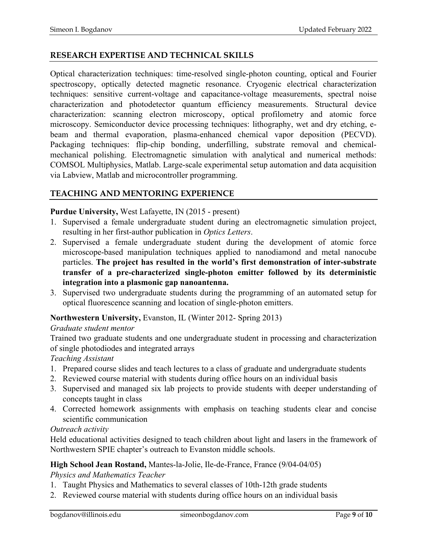## **RESEARCH EXPERTISE AND TECHNICAL SKILLS**

Optical characterization techniques: time-resolved single-photon counting, optical and Fourier spectroscopy, optically detected magnetic resonance. Cryogenic electrical characterization techniques: sensitive current-voltage and capacitance-voltage measurements, spectral noise characterization and photodetector quantum efficiency measurements. Structural device characterization: scanning electron microscopy, optical profilometry and atomic force microscopy. Semiconductor device processing techniques: lithography, wet and dry etching, ebeam and thermal evaporation, plasma-enhanced chemical vapor deposition (PECVD). Packaging techniques: flip-chip bonding, underfilling, substrate removal and chemicalmechanical polishing. Electromagnetic simulation with analytical and numerical methods: COMSOL Multiphysics, Matlab. Large-scale experimental setup automation and data acquisition via Labview, Matlab and microcontroller programming.

## **TEACHING AND MENTORING EXPERIENCE**

### **Purdue University,** West Lafayette, IN (2015 - present)

- 1. Supervised a female undergraduate student during an electromagnetic simulation project, resulting in her first-author publication in *Optics Letters*.
- 2. Supervised a female undergraduate student during the development of atomic force microscope-based manipulation techniques applied to nanodiamond and metal nanocube particles. **The project has resulted in the world's first demonstration of inter-substrate transfer of a pre-characterized single-photon emitter followed by its deterministic integration into a plasmonic gap nanoantenna.**
- 3. Supervised two undergraduate students during the programming of an automated setup for optical fluorescence scanning and location of single-photon emitters.

## **Northwestern University,** Evanston, IL (Winter 2012- Spring 2013)

### *Graduate student mentor*

Trained two graduate students and one undergraduate student in processing and characterization of single photodiodes and integrated arrays

## *Teaching Assistant*

- 1. Prepared course slides and teach lectures to a class of graduate and undergraduate students
- 2. Reviewed course material with students during office hours on an individual basis
- 3. Supervised and managed six lab projects to provide students with deeper understanding of concepts taught in class
- 4. Corrected homework assignments with emphasis on teaching students clear and concise scientific communication

### *Outreach activity*

Held educational activities designed to teach children about light and lasers in the framework of Northwestern SPIE chapter's outreach to Evanston middle schools.

## **High School Jean Rostand,** Mantes-la-Jolie, Ile-de-France, France (9/04-04/05)

*Physics and Mathematics Teacher*

- 1. Taught Physics and Mathematics to several classes of 10th-12th grade students
- 2. Reviewed course material with students during office hours on an individual basis